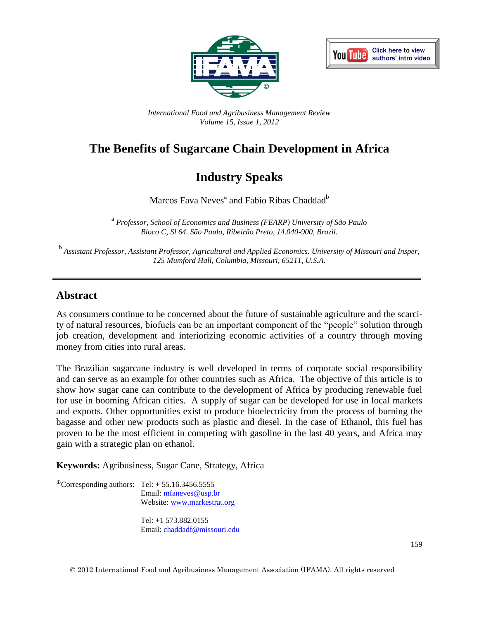



*International Food and Agribusiness Management Review Volume 15, Issue 1, 2012*

# **The Benefits of Sugarcane Chain Development in Africa**

# **Industry Speaks**

Marcos Fava Neves<sup>a</sup> and Fabio Ribas Chaddad<sup>b</sup>

a *Professor, School of Economics and Business (FEARP) University of São Paulo Bloco C, Sl 64. São Paulo, Ribeirão Preto, 14.040-900, Brazil.*

b *Assistant Professor, Assistant Professor, Agricultural and Applied Economics. University of Missouri and Insper, 125 Mumford Hall, Columbia, Missouri, 65211, U.S.A.*

## **Abstract**

As consumers continue to be concerned about the future of sustainable agriculture and the scarcity of natural resources, biofuels can be an important component of the "people" solution through job creation, development and interiorizing economic activities of a country through moving money from cities into rural areas.

The Brazilian sugarcane industry is well developed in terms of corporate social responsibility and can serve as an example for other countries such as Africa. The objective of this article is to show how sugar cane can contribute to the development of Africa by producing renewable fuel for use in booming African cities. A supply of sugar can be developed for use in local markets and exports. Other opportunities exist to produce bioelectricity from the process of burning the bagasse and other new products such as plastic and diesel. In the case of Ethanol, this fuel has proven to be the most efficient in competing with gasoline in the last 40 years, and Africa may gain with a strategic plan on ethanol.

**Keywords:** Agribusiness, Sugar Cane, Strategy, Africa

 $\overline{C}$ Oorresponding authors: Tel: + 55.16.3456.5555 Email: [mfaneves@usp.br](mailto:mfaneves@usp.br) Website: [www.markestrat.org](http://www.markestrat.org/)

> Tel: +1 573.882.0155 Email: [chaddadf@missouri.edu](mailto:chaddadf@missouri.edu)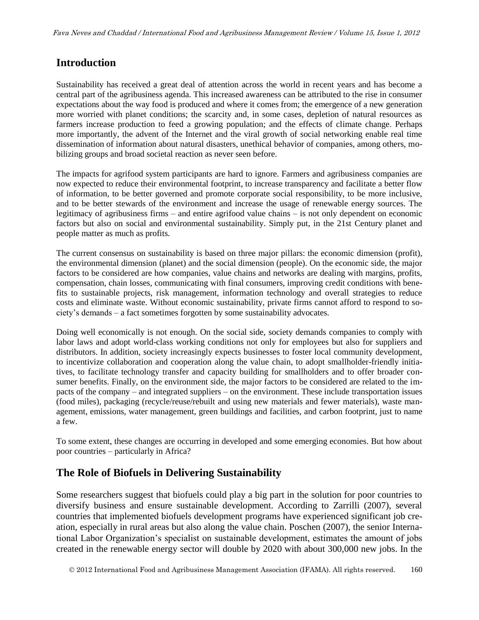#### **Introduction**

Sustainability has received a great deal of attention across the world in recent years and has become a central part of the agribusiness agenda. This increased awareness can be attributed to the rise in consumer expectations about the way food is produced and where it comes from; the emergence of a new generation more worried with planet conditions; the scarcity and, in some cases, depletion of natural resources as farmers increase production to feed a growing population; and the effects of climate change. Perhaps more importantly, the advent of the Internet and the viral growth of social networking enable real time dissemination of information about natural disasters, unethical behavior of companies, among others, mobilizing groups and broad societal reaction as never seen before.

The impacts for agrifood system participants are hard to ignore. Farmers and agribusiness companies are now expected to reduce their environmental footprint, to increase transparency and facilitate a better flow of information, to be better governed and promote corporate social responsibility, to be more inclusive, and to be better stewards of the environment and increase the usage of renewable energy sources. The legitimacy of agribusiness firms – and entire agrifood value chains – is not only dependent on economic factors but also on social and environmental sustainability. Simply put, in the 21st Century planet and people matter as much as profits.

The current consensus on sustainability is based on three major pillars: the economic dimension (profit), the environmental dimension (planet) and the social dimension (people). On the economic side, the major factors to be considered are how companies, value chains and networks are dealing with margins, profits, compensation, chain losses, communicating with final consumers, improving credit conditions with benefits to sustainable projects, risk management, information technology and overall strategies to reduce costs and eliminate waste. Without economic sustainability, private firms cannot afford to respond to society's demands – a fact sometimes forgotten by some sustainability advocates.

Doing well economically is not enough. On the social side, society demands companies to comply with labor laws and adopt world-class working conditions not only for employees but also for suppliers and distributors. In addition, society increasingly expects businesses to foster local community development, to incentivize collaboration and cooperation along the value chain, to adopt smallholder-friendly initiatives, to facilitate technology transfer and capacity building for smallholders and to offer broader consumer benefits. Finally, on the environment side, the major factors to be considered are related to the impacts of the company – and integrated suppliers – on the environment. These include transportation issues (food miles), packaging (recycle/reuse/rebuilt and using new materials and fewer materials), waste management, emissions, water management, green buildings and facilities, and carbon footprint, just to name a few.

To some extent, these changes are occurring in developed and some emerging economies. But how about poor countries – particularly in Africa?

### **The Role of Biofuels in Delivering Sustainability**

Some researchers suggest that biofuels could play a big part in the solution for poor countries to diversify business and ensure sustainable development. According to Zarrilli (2007), several countries that implemented biofuels development programs have experienced significant job creation, especially in rural areas but also along the value chain. Poschen (2007), the senior International Labor Organization's specialist on sustainable development, estimates the amount of jobs created in the renewable energy sector will double by 2020 with about 300,000 new jobs. In the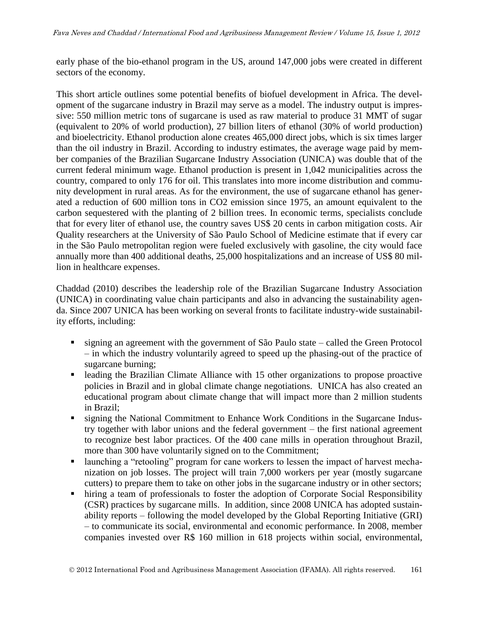early phase of the bio-ethanol program in the US, around 147,000 jobs were created in different sectors of the economy.

This short article outlines some potential benefits of biofuel development in Africa. The development of the sugarcane industry in Brazil may serve as a model. The industry output is impressive: 550 million metric tons of sugarcane is used as raw material to produce 31 MMT of sugar (equivalent to 20% of world production), 27 billion liters of ethanol (30% of world production) and bioelectricity. Ethanol production alone creates 465,000 direct jobs, which is six times larger than the oil industry in Brazil. According to industry estimates, the average wage paid by member companies of the Brazilian Sugarcane Industry Association (UNICA) was double that of the current federal minimum wage. Ethanol production is present in 1,042 municipalities across the country, compared to only 176 for oil. This translates into more income distribution and community development in rural areas. As for the environment, the use of sugarcane ethanol has generated a reduction of 600 million tons in CO2 emission since 1975, an amount equivalent to the carbon sequestered with the planting of 2 billion trees. In economic terms, specialists conclude that for every liter of ethanol use, the country saves US\$ 20 cents in carbon mitigation costs. Air Quality researchers at the University of São Paulo School of Medicine estimate that if every car in the São Paulo metropolitan region were fueled exclusively with gasoline, the city would face annually more than 400 additional deaths, 25,000 hospitalizations and an increase of US\$ 80 million in healthcare expenses.

Chaddad (2010) describes the leadership role of the Brazilian Sugarcane Industry Association (UNICA) in coordinating value chain participants and also in advancing the sustainability agenda. Since 2007 UNICA has been working on several fronts to facilitate industry-wide sustainability efforts, including:

- signing an agreement with the government of São Paulo state called the Green Protocol – in which the industry voluntarily agreed to speed up the phasing-out of the practice of sugarcane burning;
- leading the Brazilian Climate Alliance with 15 other organizations to propose proactive policies in Brazil and in global climate change negotiations. UNICA has also created an educational program about climate change that will impact more than 2 million students in Brazil;
- **signing the National Commitment to Enhance Work Conditions in the Sugarcane Indus**try together with labor unions and the federal government – the first national agreement to recognize best labor practices. Of the 400 cane mills in operation throughout Brazil, more than 300 have voluntarily signed on to the Commitment;
- launching a "retooling" program for cane workers to lessen the impact of harvest mechanization on job losses. The project will train 7,000 workers per year (mostly sugarcane cutters) to prepare them to take on other jobs in the sugarcane industry or in other sectors;
- hiring a team of professionals to foster the adoption of Corporate Social Responsibility (CSR) practices by sugarcane mills. In addition, since 2008 UNICA has adopted sustainability reports – following the model developed by the Global Reporting Initiative (GRI) – to communicate its social, environmental and economic performance. In 2008, member companies invested over R\$ 160 million in 618 projects within social, environmental,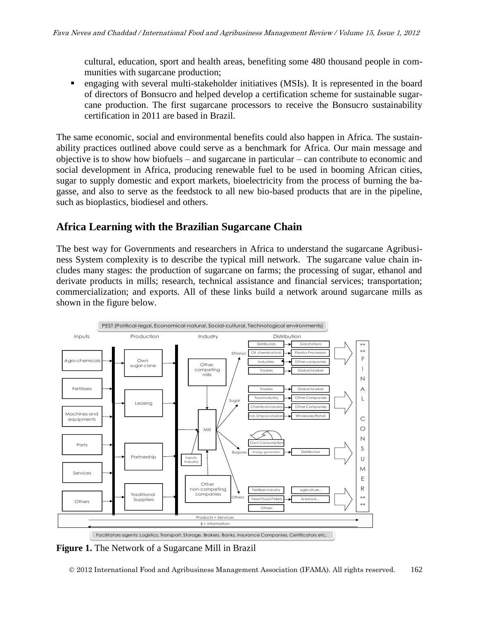cultural, education, sport and health areas, benefiting some 480 thousand people in communities with sugarcane production;

 engaging with several multi-stakeholder initiatives (MSIs). It is represented in the board of directors of Bonsucro and helped develop a certification scheme for sustainable sugarcane production. The first sugarcane processors to receive the Bonsucro sustainability certification in 2011 are based in Brazil.

The same economic, social and environmental benefits could also happen in Africa. The sustainability practices outlined above could serve as a benchmark for Africa. Our main message and objective is to show how biofuels – and sugarcane in particular – can contribute to economic and social development in Africa, producing renewable fuel to be used in booming African cities, sugar to supply domestic and export markets, bioelectricity from the process of burning the bagasse, and also to serve as the feedstock to all new bio-based products that are in the pipeline, such as bioplastics, biodiesel and others.

#### **Africa Learning with the Brazilian Sugarcane Chain**

The best way for Governments and researchers in Africa to understand the sugarcane Agribusiness System complexity is to describe the typical mill network. The sugarcane value chain includes many stages: the production of sugarcane on farms; the processing of sugar, ethanol and derivate products in mills; research, technical assistance and financial services; transportation; commercialization; and exports. All of these links build a network around sugarcane mills as shown in the figure below.



**Figure 1.** The Network of a Sugarcane Mill in Brazil

2012 International Food and Agribusiness Management Association (IFAMA). All rights reserved. 162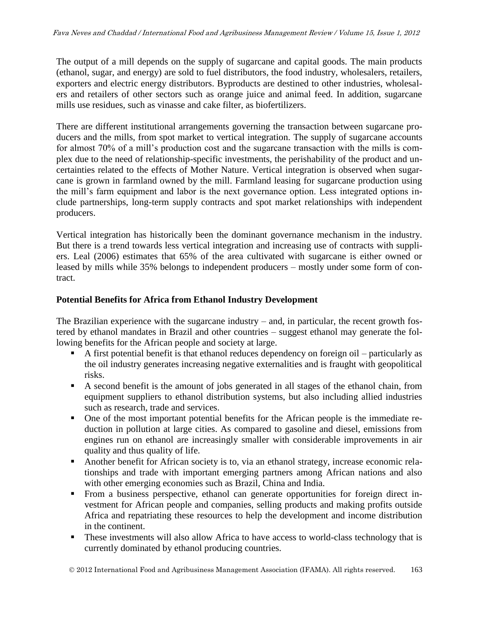The output of a mill depends on the supply of sugarcane and capital goods. The main products (ethanol, sugar, and energy) are sold to fuel distributors, the food industry, wholesalers, retailers, exporters and electric energy distributors. Byproducts are destined to other industries, wholesalers and retailers of other sectors such as orange juice and animal feed. In addition, sugarcane mills use residues, such as vinasse and cake filter, as biofertilizers.

There are different institutional arrangements governing the transaction between sugarcane producers and the mills, from spot market to vertical integration. The supply of sugarcane accounts for almost 70% of a mill's production cost and the sugarcane transaction with the mills is complex due to the need of relationship-specific investments, the perishability of the product and uncertainties related to the effects of Mother Nature. Vertical integration is observed when sugarcane is grown in farmland owned by the mill. Farmland leasing for sugarcane production using the mill's farm equipment and labor is the next governance option. Less integrated options include partnerships, long-term supply contracts and spot market relationships with independent producers.

Vertical integration has historically been the dominant governance mechanism in the industry. But there is a trend towards less vertical integration and increasing use of contracts with suppliers. Leal (2006) estimates that 65% of the area cultivated with sugarcane is either owned or leased by mills while 35% belongs to independent producers – mostly under some form of contract.

#### **Potential Benefits for Africa from Ethanol Industry Development**

The Brazilian experience with the sugarcane industry – and, in particular, the recent growth fostered by ethanol mandates in Brazil and other countries – suggest ethanol may generate the following benefits for the African people and society at large.

- A first potential benefit is that ethanol reduces dependency on foreign oil particularly as the oil industry generates increasing negative externalities and is fraught with geopolitical risks.
- A second benefit is the amount of jobs generated in all stages of the ethanol chain, from equipment suppliers to ethanol distribution systems, but also including allied industries such as research, trade and services.
- One of the most important potential benefits for the African people is the immediate reduction in pollution at large cities. As compared to gasoline and diesel, emissions from engines run on ethanol are increasingly smaller with considerable improvements in air quality and thus quality of life.
- Another benefit for African society is to, via an ethanol strategy, increase economic relationships and trade with important emerging partners among African nations and also with other emerging economies such as Brazil, China and India.
- From a business perspective, ethanol can generate opportunities for foreign direct investment for African people and companies, selling products and making profits outside Africa and repatriating these resources to help the development and income distribution in the continent.
- These investments will also allow Africa to have access to world-class technology that is currently dominated by ethanol producing countries.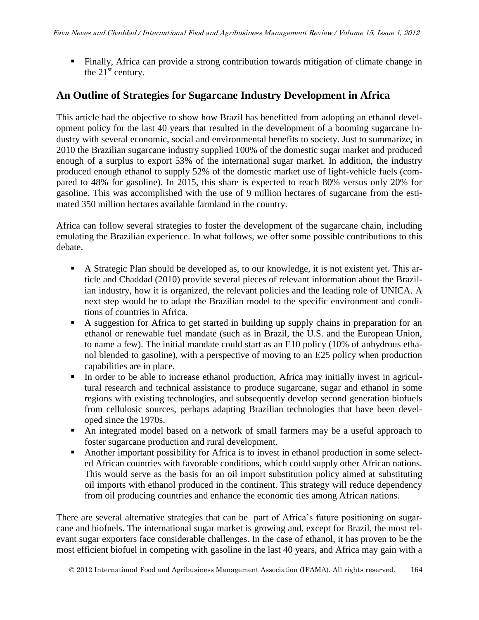Finally, Africa can provide a strong contribution towards mitigation of climate change in the  $21<sup>st</sup>$  century.

## **An Outline of Strategies for Sugarcane Industry Development in Africa**

This article had the objective to show how Brazil has benefitted from adopting an ethanol development policy for the last 40 years that resulted in the development of a booming sugarcane industry with several economic, social and environmental benefits to society. Just to summarize, in 2010 the Brazilian sugarcane industry supplied 100% of the domestic sugar market and produced enough of a surplus to export 53% of the international sugar market. In addition, the industry produced enough ethanol to supply 52% of the domestic market use of light-vehicle fuels (compared to 48% for gasoline). In 2015, this share is expected to reach 80% versus only 20% for gasoline. This was accomplished with the use of 9 million hectares of sugarcane from the estimated 350 million hectares available farmland in the country.

Africa can follow several strategies to foster the development of the sugarcane chain, including emulating the Brazilian experience. In what follows, we offer some possible contributions to this debate.

- A Strategic Plan should be developed as, to our knowledge, it is not existent yet. This article and Chaddad (2010) provide several pieces of relevant information about the Brazilian industry, how it is organized, the relevant policies and the leading role of UNICA. A next step would be to adapt the Brazilian model to the specific environment and conditions of countries in Africa.
- A suggestion for Africa to get started in building up supply chains in preparation for an ethanol or renewable fuel mandate (such as in Brazil, the U.S. and the European Union, to name a few). The initial mandate could start as an E10 policy (10% of anhydrous ethanol blended to gasoline), with a perspective of moving to an E25 policy when production capabilities are in place.
- In order to be able to increase ethanol production, Africa may initially invest in agricultural research and technical assistance to produce sugarcane, sugar and ethanol in some regions with existing technologies, and subsequently develop second generation biofuels from cellulosic sources, perhaps adapting Brazilian technologies that have been developed since the 1970s.
- An integrated model based on a network of small farmers may be a useful approach to foster sugarcane production and rural development.
- Another important possibility for Africa is to invest in ethanol production in some selected African countries with favorable conditions, which could supply other African nations. This would serve as the basis for an oil import substitution policy aimed at substituting oil imports with ethanol produced in the continent. This strategy will reduce dependency from oil producing countries and enhance the economic ties among African nations.

There are several alternative strategies that can be part of Africa's future positioning on sugarcane and biofuels. The international sugar market is growing and, except for Brazil, the most relevant sugar exporters face considerable challenges. In the case of ethanol, it has proven to be the most efficient biofuel in competing with gasoline in the last 40 years, and Africa may gain with a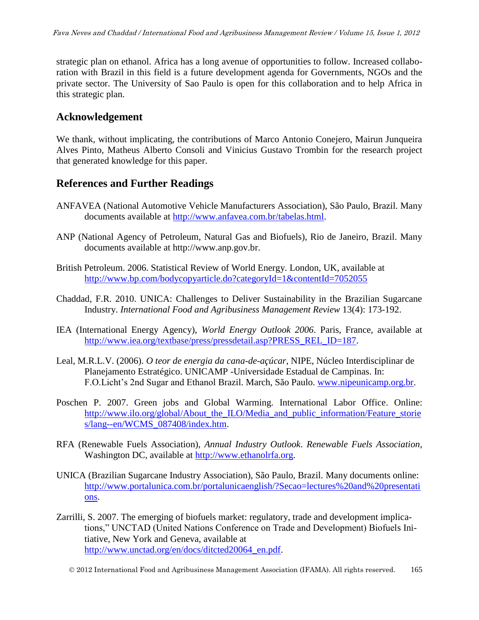strategic plan on ethanol. Africa has a long avenue of opportunities to follow. Increased collaboration with Brazil in this field is a future development agenda for Governments, NGOs and the private sector. The University of Sao Paulo is open for this collaboration and to help Africa in this strategic plan.

#### **Acknowledgement**

We thank, without implicating, the contributions of Marco Antonio Conejero, Mairun Junqueira Alves Pinto, Matheus Alberto Consoli and Vinicius Gustavo Trombin for the research project that generated knowledge for this paper.

#### **References and Further Readings**

- ANFAVEA (National Automotive Vehicle Manufacturers Association), São Paulo, Brazil. Many documents available at [http://www.anfavea.com.br/tabelas.html.](http://www.anfavea.com.br/tabelas.html)
- ANP (National Agency of Petroleum, Natural Gas and Biofuels), Rio de Janeiro, Brazil. Many documents available at [http://www.anp.gov.br.](http://www.anp.gov.br/)
- British Petroleum. 2006. Statistical Review of World Energy. London, UK, available at <http://www.bp.com/bodycopyarticle.do?categoryId=1&contentId=7052055>
- Chaddad, F.R. 2010. UNICA: Challenges to Deliver Sustainability in the Brazilian Sugarcane Industry. *International Food and Agribusiness Management Review* 13(4): 173-192.
- IEA (International Energy Agency), *World Energy Outlook 2006*. Paris, France, available at [http://www.iea.org/textbase/press/pressdetail.asp?PRESS\\_REL\\_ID=187.](http://www.iea.org/textbase/press/pressdetail.asp?PRESS_REL_ID=187)
- Leal, M.R.L.V. (2006). *O teor de energia da cana-de-açúcar*, NIPE, Núcleo Interdisciplinar de Planejamento Estratégico. UNICAMP -Universidade Estadual de Campinas. In: F.O.Licht's 2nd Sugar and Ethanol Brazil. March, São Paulo. [www.nipeunicamp.org.br.](http://www.nipeunicamp.org.br/)
- Poschen P. 2007. Green jobs and Global Warming. International Labor Office. Online: [http://www.ilo.org/global/About\\_the\\_ILO/Media\\_and\\_public\\_information/Feature\\_storie](http://www.ilo.org/global/About_the_ILO/Media_and_public_information/Feature_stories/lang--en/WCMS_087408/index.htm) [s/lang--en/WCMS\\_087408/index.htm.](http://www.ilo.org/global/About_the_ILO/Media_and_public_information/Feature_stories/lang--en/WCMS_087408/index.htm)
- RFA (Renewable Fuels Association), *Annual Industry Outlook*. *Renewable Fuels Association*, Washington DC, available at [http://www.ethanolrfa.org.](http://www.ethanolrfa.org/)
- UNICA (Brazilian Sugarcane Industry Association), São Paulo, Brazil. Many documents online: [http://www.portalunica.com.br/portalunicaenglish/?Secao=lectures%20and%20presentati](http://www.portalunica.com.br/portalunicaenglish/?Secao=lectures%20and%20presentations) [ons.](http://www.portalunica.com.br/portalunicaenglish/?Secao=lectures%20and%20presentations)
- Zarrilli, S. 2007. The emerging of biofuels market: regulatory, trade and development implications," UNCTAD (United Nations Conference on Trade and Development) Biofuels Initiative, New York and Geneva, available at [http://www.unctad.org/en/docs/ditcted20064\\_en.pdf.](http://www.unctad.org/en/docs/ditcted20064_en.pdf)